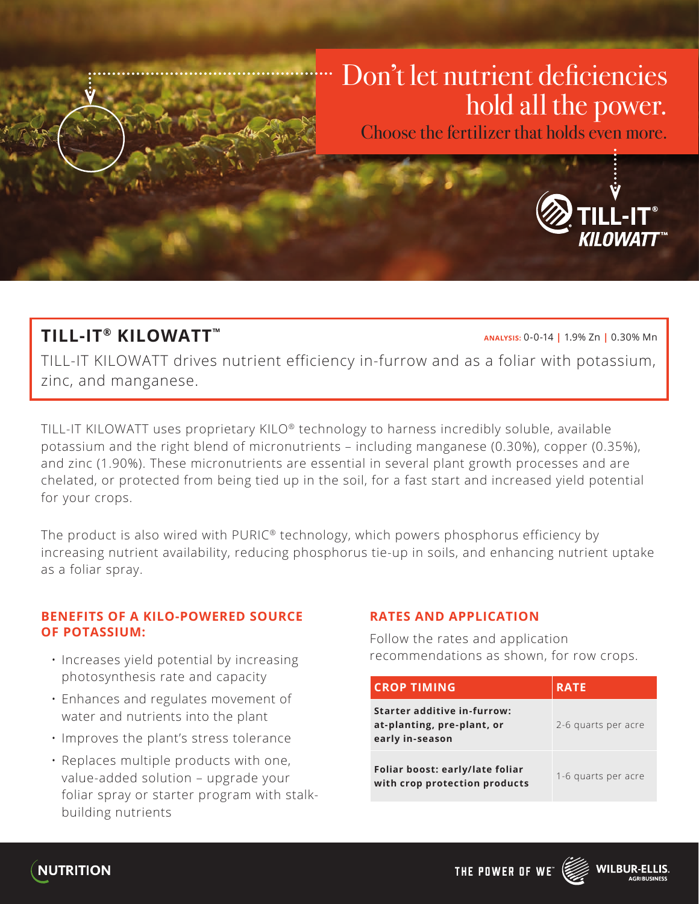

Choose the fertilizer that holds even more.



# **TILL-IT® KILOWATT™**

**ANALYSIS:** 0-0-14 **|** 1.9% Zn **|** 0.30% Mn

TILL-IT KILOWATT drives nutrient efficiency in-furrow and as a foliar with potassium, zinc, and manganese.

TILL-IT KILOWATT uses proprietary KILO® technology to harness incredibly soluble, available potassium and the right blend of micronutrients – including manganese (0.30%), copper (0.35%), and zinc (1.90%). These micronutrients are essential in several plant growth processes and are chelated, or protected from being tied up in the soil, for a fast start and increased yield potential for your crops.

The product is also wired with PURIC® technology, which powers phosphorus efficiency by increasing nutrient availability, reducing phosphorus tie-up in soils, and enhancing nutrient uptake as a foliar spray.

### **BENEFITS OF A KILO-POWERED SOURCE OF POTASSIUM:**

- Increases yield potential by increasing photosynthesis rate and capacity
- Enhances and regulates movement of water and nutrients into the plant
- Improves the plant's stress tolerance
- Replaces multiple products with one, value-added solution – upgrade your foliar spray or starter program with stalkbuilding nutrients

#### **RATES AND APPLICATION**

Follow the rates and application recommendations as shown, for row crops.

| <b>CROP TIMING</b>                                                                  | <b>RATE</b>         |
|-------------------------------------------------------------------------------------|---------------------|
| <b>Starter additive in-furrow:</b><br>at-planting, pre-plant, or<br>early in-season | 2-6 quarts per acre |
| Foliar boost: early/late foliar<br>with crop protection products                    | 1-6 quarts per acre |



THE POWER OF WE"